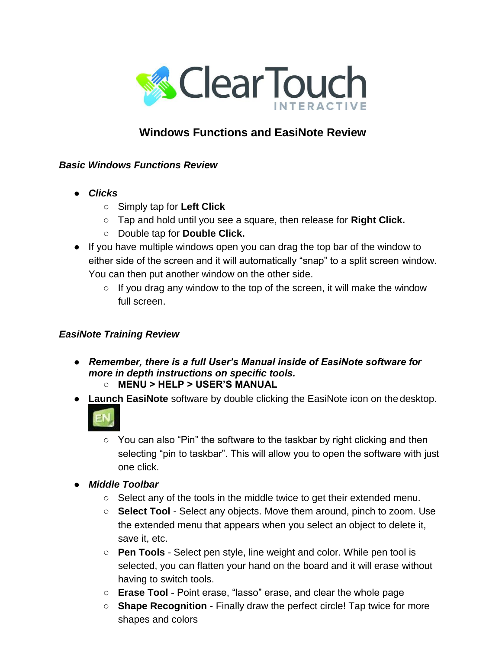

## **Windows Functions and EasiNote Review**

## *Basic Windows Functions Review*

- *Clicks*
	- Simply tap for **Left Click**
	- Tap and hold until you see a square, then release for **Right Click.**
	- Double tap for **Double Click.**
- If you have multiple windows open you can drag the top bar of the window to either side of the screen and it will automatically "snap" to a split screen window. You can then put another window on the other side.
	- $\circ$  If you drag any window to the top of the screen, it will make the window full screen.

## *EasiNote Training Review*

- *Remember, there is a full User's Manual inside of EasiNote software for more in depth instructions on specific tools.* **○ MENU > HELP > USER'S MANUAL**
- **Launch EasiNote** software by double clicking the EasiNote icon on the desktop.



- You can also "Pin" the software to the taskbar by right clicking and then selecting "pin to taskbar". This will allow you to open the software with just one click.
- **●** *Middle Toolbar*
	- Select any of the tools in the middle twice to get their extended menu.
	- **○ Select Tool**  Select any objects. Move them around, pinch to zoom. Use the extended menu that appears when you select an object to delete it, save it, etc.
	- **○ Pen Tools**  Select pen style, line weight and color. While pen tool is selected, you can flatten your hand on the board and it will erase without having to switch tools.
	- **Erase Tool** Point erase, "lasso" erase, and clear the whole page
	- **○ Shape Recognition**  Finally draw the perfect circle! Tap twice for more shapes and colors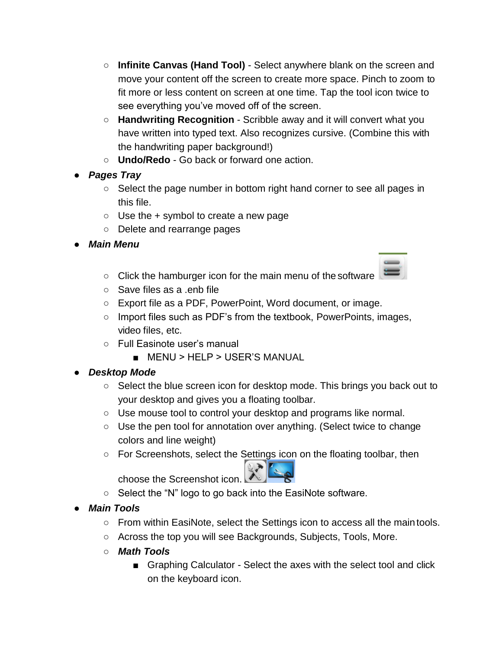- **○ Infinite Canvas (Hand Tool)**  Select anywhere blank on the screen and move your content off the screen to create more space. Pinch to zoom to fit more or less content on screen at one time. Tap the tool icon twice to see everything you've moved off of the screen.
- **○ Handwriting Recognition**  Scribble away and it will convert what you have written into typed text. Also recognizes cursive. (Combine this with the handwriting paper background!)
- **○ Undo/Redo**  Go back or forward one action.
- **●** *Pages Tray*
	- Select the page number in bottom right hand corner to see all pages in this file.
	- $\circ$  Use the + symbol to create a new page
	- Delete and rearrange pages
- **●** *Main Menu*
	- Click the hamburger icon for the main menu of the software



- Save files as a .enb file
- Export file as a PDF, PowerPoint, Word document, or image.
- Import files such as PDF's from the textbook, PowerPoints, images, video files, etc.
- Full Easinote user's manual
	- MENU > HELP > USER'S MANUAL

## **●** *Desktop Mode*

- Select the blue screen icon for desktop mode. This brings you back out to your desktop and gives you a floating toolbar.
- Use mouse tool to control your desktop and programs like normal.
- Use the pen tool for annotation over anything. (Select twice to change colors and line weight)
- For Screenshots, select the Settings icon on the floating toolbar, then

choose the Screenshot icon.

- Select the "N" logo to go back into the EasiNote software.
- **●** *Main Tools*
	- From within EasiNote, select the Settings icon to access all the main tools.
	- Across the top you will see Backgrounds, Subjects, Tools, More.
	- **○** *Math Tools*
		- Graphing Calculator Select the axes with the select tool and click on the keyboard icon.